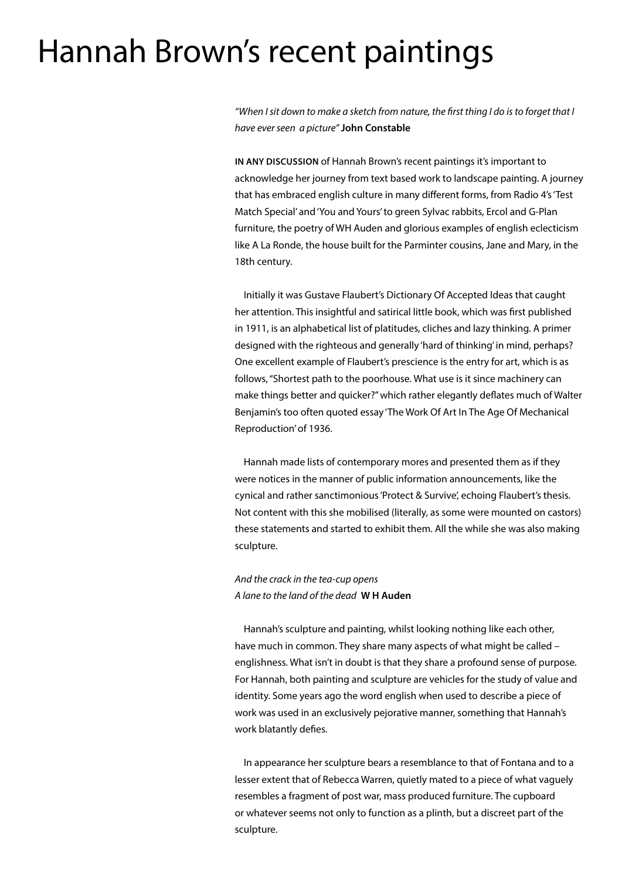# Hannah Brown's recent paintings

*"When I sit down to make a sketch from nature, the first thing I do is to forget that I have ever seen a picture"* **John Constable**

**IN ANY DISCUSSION** of Hannah Brown's recent paintings it's important to acknowledge her journey from text based work to landscape painting. A journey that has embraced english culture in many different forms, from Radio 4's 'Test Match Special' and 'You and Yours' to green Sylvac rabbits, Ercol and G-Plan furniture, the poetry of WH Auden and glorious examples of english eclecticism like A La Ronde, the house built for the Parminter cousins, Jane and Mary, in the 18th century.

Initially it was Gustave Flaubert's Dictionary Of Accepted Ideas that caught her attention. This insightful and satirical little book, which was first published in 1911, is an alphabetical list of platitudes, cliches and lazy thinking. A primer designed with the righteous and generally 'hard of thinking' in mind, perhaps? One excellent example of Flaubert's prescience is the entry for art, which is as follows, "Shortest path to the poorhouse. What use is it since machinery can make things better and quicker?" which rather elegantly deflates much of Walter Benjamin's too often quoted essay 'The Work Of Art In The Age Of Mechanical Reproduction' of 1936.

Hannah made lists of contemporary mores and presented them as if they were notices in the manner of public information announcements, like the cynical and rather sanctimonious 'Protect & Survive', echoing Flaubert's thesis. Not content with this she mobilised (literally, as some were mounted on castors) these statements and started to exhibit them. All the while she was also making sculpture.

# *And the crack in the tea-cup opens A lane to the land of the dead* **W H Auden**

Hannah's sculpture and painting, whilst looking nothing like each other, have much in common. They share many aspects of what might be called – englishness. What isn't in doubt is that they share a profound sense of purpose. For Hannah, both painting and sculpture are vehicles for the study of value and identity. Some years ago the word english when used to describe a piece of work was used in an exclusively pejorative manner, something that Hannah's work blatantly defies.

In appearance her sculpture bears a resemblance to that of Fontana and to a lesser extent that of Rebecca Warren, quietly mated to a piece of what vaguely resembles a fragment of post war, mass produced furniture. The cupboard or whatever seems not only to function as a plinth, but a discreet part of the sculpture.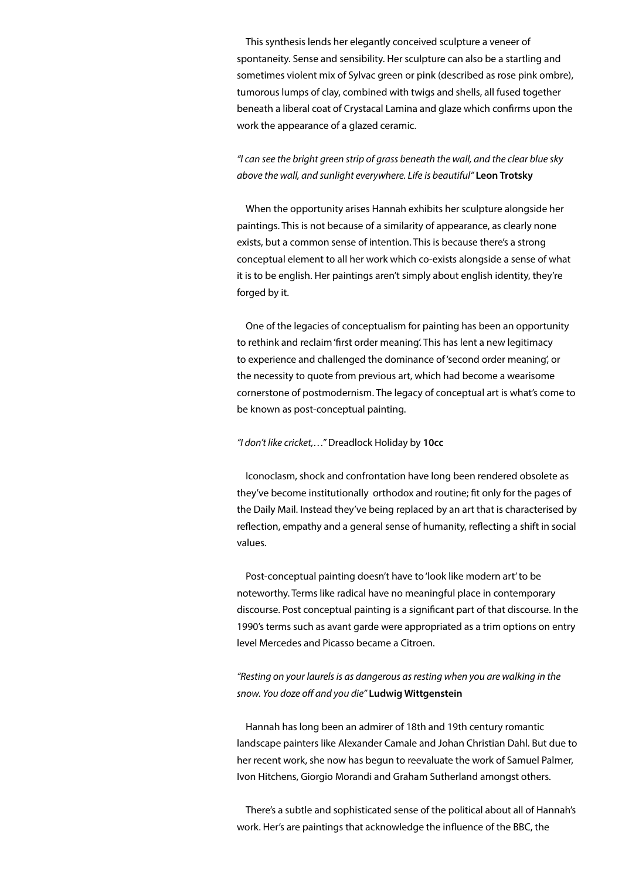This synthesis lends her elegantly conceived sculpture a veneer of spontaneity. Sense and sensibility. Her sculpture can also be a startling and sometimes violent mix of Sylvac green or pink (described as rose pink ombre), tumorous lumps of clay, combined with twigs and shells, all fused together beneath a liberal coat of Crystacal Lamina and glaze which confirms upon the work the appearance of a glazed ceramic.

*"I can see the bright green strip of grass beneath the wall, and the clear blue sky above the wall, and sunlight everywhere. Life is beautiful"* **Leon Trotsky**

When the opportunity arises Hannah exhibits her sculpture alongside her paintings. This is not because of a similarity of appearance, as clearly none exists, but a common sense of intention. This is because there's a strong conceptual element to all her work which co-exists alongside a sense of what it is to be english. Her paintings aren't simply about english identity, they're forged by it.

One of the legacies of conceptualism for painting has been an opportunity to rethink and reclaim 'first order meaning'. This has lent a new legitimacy to experience and challenged the dominance of 'second order meaning', or the necessity to quote from previous art, which had become a wearisome cornerstone of postmodernism. The legacy of conceptual art is what's come to be known as post-conceptual painting.

*"I don't like cricket,…"* Dreadlock Holiday by **10cc**

Iconoclasm, shock and confrontation have long been rendered obsolete as they've become institutionally orthodox and routine; fit only for the pages of the Daily Mail. Instead they've being replaced by an art that is characterised by reflection, empathy and a general sense of humanity, reflecting a shift in social values.

Post-conceptual painting doesn't have to 'look like modern art' to be noteworthy. Terms like radical have no meaningful place in contemporary discourse. Post conceptual painting is a significant part of that discourse. In the 1990's terms such as avant garde were appropriated as a trim options on entry level Mercedes and Picasso became a Citroen.

## *"Resting on your laurels is as dangerous as resting when you are walking in the snow. You doze off and you die"* **Ludwig Wittgenstein**

Hannah has long been an admirer of 18th and 19th century romantic landscape painters like Alexander Camale and Johan Christian Dahl. But due to her recent work, she now has begun to reevaluate the work of Samuel Palmer, Ivon Hitchens, Giorgio Morandi and Graham Sutherland amongst others.

There's a subtle and sophisticated sense of the political about all of Hannah's work. Her's are paintings that acknowledge the influence of the BBC, the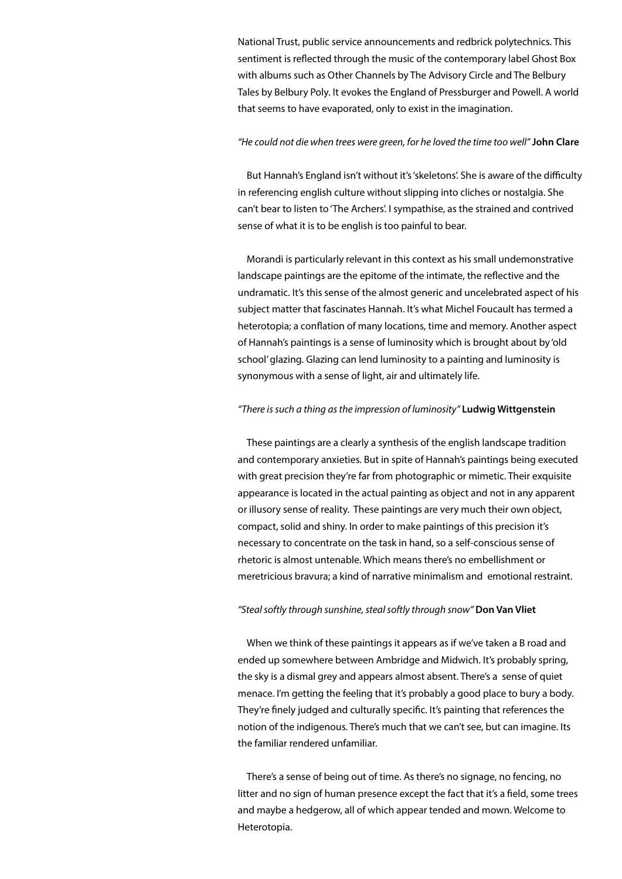National Trust, public service announcements and redbrick polytechnics. This sentiment is reflected through the music of the contemporary label Ghost Box with albums such as Other Channels by The Advisory Circle and The Belbury Tales by Belbury Poly. It evokes the England of Pressburger and Powell. A world that seems to have evaporated, only to exist in the imagination.

#### *"He could not die when trees were green, for he loved the time too well"* **John Clare**

But Hannah's England isn't without it's 'skeletons'. She is aware of the difficulty in referencing english culture without slipping into cliches or nostalgia. She can't bear to listen to 'The Archers'. I sympathise, as the strained and contrived sense of what it is to be english is too painful to bear.

Morandi is particularly relevant in this context as his small undemonstrative landscape paintings are the epitome of the intimate, the reflective and the undramatic. It's this sense of the almost generic and uncelebrated aspect of his subject matter that fascinates Hannah. It's what Michel Foucault has termed a heterotopia; a conflation of many locations, time and memory. Another aspect of Hannah's paintings is a sense of luminosity which is brought about by 'old school' glazing. Glazing can lend luminosity to a painting and luminosity is synonymous with a sense of light, air and ultimately life.

#### *"There is such a thing as the impression of luminosity"* **Ludwig Wittgenstein**

These paintings are a clearly a synthesis of the english landscape tradition and contemporary anxieties. But in spite of Hannah's paintings being executed with great precision they're far from photographic or mimetic. Their exquisite appearance is located in the actual painting as object and not in any apparent or illusory sense of reality. These paintings are very much their own object, compact, solid and shiny. In order to make paintings of this precision it's necessary to concentrate on the task in hand, so a self-conscious sense of rhetoric is almost untenable. Which means there's no embellishment or meretricious bravura; a kind of narrative minimalism and emotional restraint.

#### *"Steal softly through sunshine, steal softly through snow"* **Don Van Vliet**

When we think of these paintings it appears as if we've taken a B road and ended up somewhere between Ambridge and Midwich. It's probably spring, the sky is a dismal grey and appears almost absent. There's a sense of quiet menace. I'm getting the feeling that it's probably a good place to bury a body. They're finely judged and culturally specific. It's painting that references the notion of the indigenous. There's much that we can't see, but can imagine. Its the familiar rendered unfamiliar.

There's a sense of being out of time. As there's no signage, no fencing, no litter and no sign of human presence except the fact that it's a field, some trees and maybe a hedgerow, all of which appear tended and mown. Welcome to Heterotopia.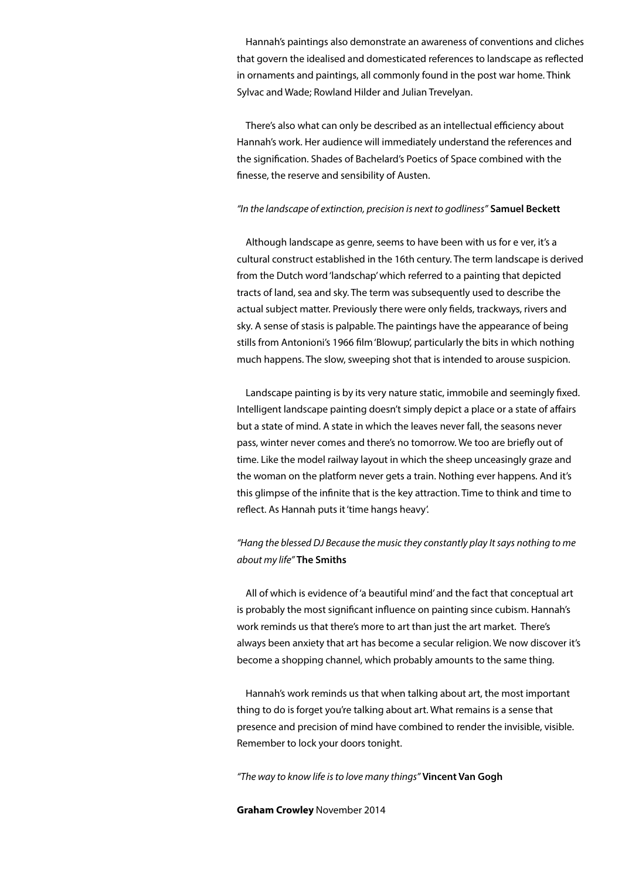Hannah's paintings also demonstrate an awareness of conventions and cliches that govern the idealised and domesticated references to landscape as reflected in ornaments and paintings, all commonly found in the post war home. Think Sylvac and Wade; Rowland Hilder and Julian Trevelyan.

There's also what can only be described as an intellectual efficiency about Hannah's work. Her audience will immediately understand the references and the signification. Shades of Bachelard's Poetics of Space combined with the finesse, the reserve and sensibility of Austen.

#### *"In the landscape of extinction, precision is next to godliness"* **Samuel Beckett**

Although landscape as genre, seems to have been with us for e ver, it's a cultural construct established in the 16th century. The term landscape is derived from the Dutch word 'landschap' which referred to a painting that depicted tracts of land, sea and sky. The term was subsequently used to describe the actual subject matter. Previously there were only fields, trackways, rivers and sky. A sense of stasis is palpable. The paintings have the appearance of being stills from Antonioni's 1966 film 'Blowup', particularly the bits in which nothing much happens. The slow, sweeping shot that is intended to arouse suspicion.

Landscape painting is by its very nature static, immobile and seemingly fixed. Intelligent landscape painting doesn't simply depict a place or a state of affairs but a state of mind. A state in which the leaves never fall, the seasons never pass, winter never comes and there's no tomorrow. We too are briefly out of time. Like the model railway layout in which the sheep unceasingly graze and the woman on the platform never gets a train. Nothing ever happens. And it's this glimpse of the infinite that is the key attraction. Time to think and time to reflect. As Hannah puts it 'time hangs heavy'.

## *"Hang the blessed DJ Because the music they constantly play It says nothing to me about my life"* **The Smiths**

All of which is evidence of 'a beautiful mind' and the fact that conceptual art is probably the most significant influence on painting since cubism. Hannah's work reminds us that there's more to art than just the art market. There's always been anxiety that art has become a secular religion. We now discover it's become a shopping channel, which probably amounts to the same thing.

Hannah's work reminds us that when talking about art, the most important thing to do is forget you're talking about art. What remains is a sense that presence and precision of mind have combined to render the invisible, visible. Remember to lock your doors tonight.

*"The way to know life is to love many things"* **Vincent Van Gogh**

**Graham Crowley** November 2014